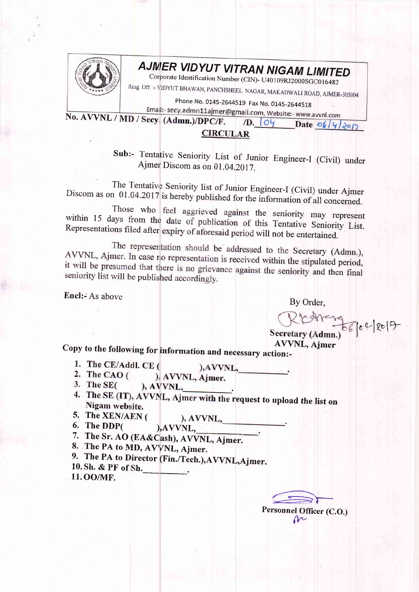

## AJMER VIDYUT VITRAN NIGAM LIMITED

Corporate Identification Number (CIN)- U40109RJ2000SGC016482

Resg. Off. :- VIDYUT BHAWAN, PANCHSHEEL NAGAR, MAKADWALI ROAD, AJMER-305004

Phone No. 0145-2644519 Fax No. 0145-2644518

Email:- secy.admn11ajmer@gmail.com, Website:- www.avvnl.com

No. AVVNL / MD / Secy. (Admn.)/DPC/F.  $\sqrt{D}$ ,  $\left|0\right\rangle$  Date  $\frac{\partial}{\partial}$ **CIRCULAR** 

> Sub:- Tentative Seniority List of Junior Engineer-I (Civil) under Ajmer Discom as on 01.04.2017.

The Tentative Seniority list of Junior Engineer-I (Civil) under Ajmer Discom as on 01.04.2017 is hereby published for the information of all concerned.

Those who feel aggrieved against the seniority may represent within 15 days from the date of publication of this Tentative Seniority List. Representations filed after expiry of aforesaid period will not be entertained.

The representation should be addressed to the Secretary (Admn.), AVVNL, Ajmer. In case no representation is received within the stipulated period, it will be presumed that there is no grievance against the seniority and then final seniority list will be published accordingly.

Encl:- As above

By Order,

Secretary (Admn.) 66 0 2 2017

**AVVNL, Ajmer** 

Copy to the following for information and necessary action:-

- 1. The CE/Addl. CE ( ), AVVNL,
- 2. The CAO  $($ ), AVVNL, Ajmer.
- 3. The  $SE($  $AVVNL$ ,
- 4. The SE (IT), AVVNL, Ajmer with the request to upload the list on Nigam website.
- 5. The XEN/AEN (  $), AVVNL,$
- 6. The DDP( ), AVVNL,
- 7. The Sr. AO (EA&Cash), AVVNL, Ajmer.
- 8. The PA to MD, AVVNL, Ajmer.
- 9. The PA to Director (Fin./Tech.), AVVNL, Ajmer.
- 10. Sh. & PF of Sh. 11.00/MF.

Personnel Officer (C.O.) m